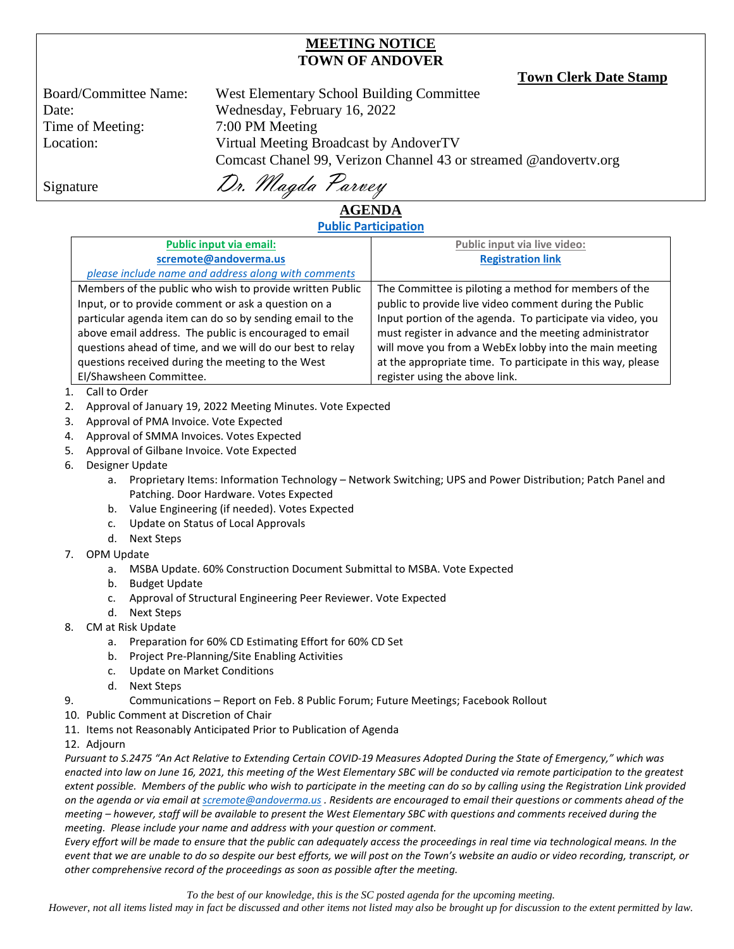#### **MEETING NOTICE TOWN OF ANDOVER**

### **Town Clerk Date Stamp**

Time of Meeting:  $7:00 \text{ PM Meeting}$ 

Board/Committee Name: West Elementary School Building Committee Date: Wednesday, February 16, 2022 Location: Virtual Meeting Broadcast by AndoverTV Comcast Chanel 99, Verizon Channel 43 or streamed @andovertv.org

Signature Dr. Magda Parvey

#### **AGENDA Public Participation**

| <b>Public input via email:</b>                            | Public input via live video:                                |
|-----------------------------------------------------------|-------------------------------------------------------------|
| scremote@andoverma.us                                     | <b>Registration link</b>                                    |
| please include name and address along with comments       |                                                             |
| Members of the public who wish to provide written Public  | The Committee is piloting a method for members of the       |
| Input, or to provide comment or ask a question on a       | public to provide live video comment during the Public      |
| particular agenda item can do so by sending email to the  | Input portion of the agenda. To participate via video, you  |
| above email address. The public is encouraged to email    | must register in advance and the meeting administrator      |
| questions ahead of time, and we will do our best to relay | will move you from a WebEx lobby into the main meeting      |
| questions received during the meeting to the West         | at the appropriate time. To participate in this way, please |
| El/Shawsheen Committee.                                   | register using the above link.                              |

- 1. Call to Order
- 2. Approval of January 19, 2022 Meeting Minutes. Vote Expected
- 3. Approval of PMA Invoice. Vote Expected
- 4. Approval of SMMA Invoices. Votes Expected
- 5. Approval of Gilbane Invoice. Vote Expected
- 6. Designer Update
	- a. Proprietary Items: Information Technology Network Switching; UPS and Power Distribution; Patch Panel and Patching. Door Hardware. Votes Expected
	- b. Value Engineering (if needed). Votes Expected
	- c. Update on Status of Local Approvals
	- d. Next Steps
- 7. OPM Update
	- a. MSBA Update. 60% Construction Document Submittal to MSBA. Vote Expected
	- b. Budget Update
	- c. Approval of Structural Engineering Peer Reviewer. Vote Expected
	- d. Next Steps
- 8. CM at Risk Update
	- a. Preparation for 60% CD Estimating Effort for 60% CD Set
	- b. Project Pre-Planning/Site Enabling Activities
	- c. Update on Market Conditions
	- d. Next Steps
- 9. Communications Report on Feb. 8 Public Forum; Future Meetings; Facebook Rollout
- 10. Public Comment at Discretion of Chair
- 11. Items not Reasonably Anticipated Prior to Publication of Agenda
- 12. Adjourn

*Pursuant to S.2475 "An Act Relative to Extending Certain COVID-19 Measures Adopted During the State of Emergency," which was enacted into law on June 16, 2021, this meeting of the West Elementary SBC will be conducted via remote participation to the greatest extent possible. Members of the public who wish to participate in the meeting can do so by calling using the Registration Link provided on the agenda or via email a[t scremote@andoverma.us](mailto:scremote@andoverma.us) . Residents are encouraged to email their questions or comments ahead of the meeting – however, staff will be available to present the West Elementary SBC with questions and comments received during the meeting. Please include your name and address with your question or comment.*

*Every effort will be made to ensure that the public can adequately access the proceedings in real time via technological means. In the event that we are unable to do so despite our best efforts, we will post on the Town's website an audio or video recording, transcript, or other comprehensive record of the proceedings as soon as possible after the meeting.* 

*To the best of our knowledge, this is the SC posted agenda for the upcoming meeting.* 

*However, not all items listed may in fact be discussed and other items not listed may also be brought up for discussion to the extent permitted by law.*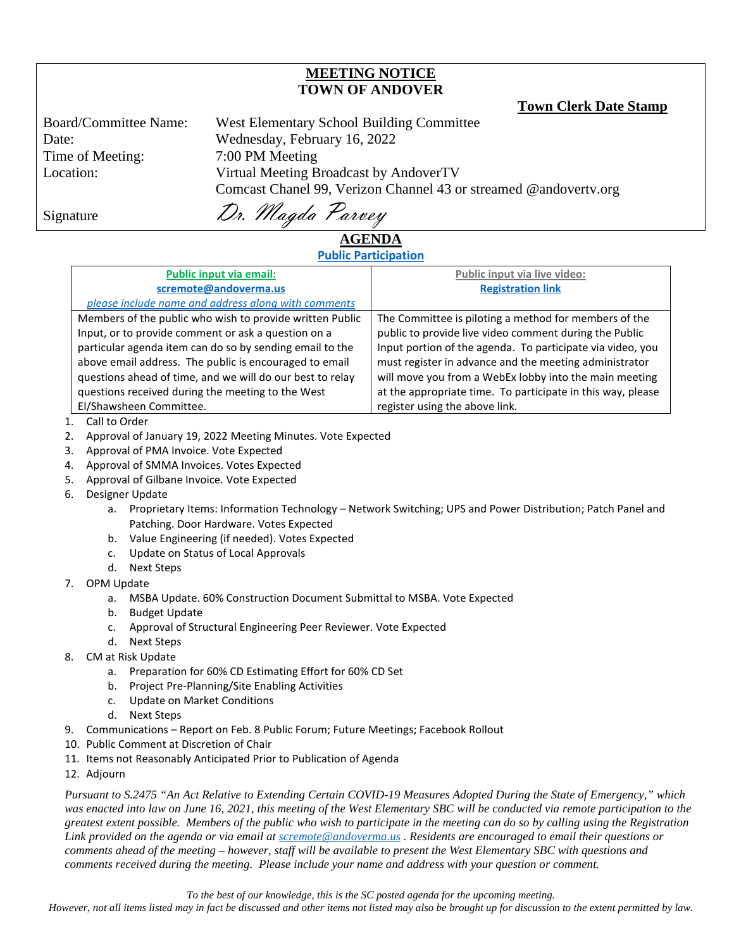#### **MEETING NOTICE TOWN OF ANDOVER**

**Town Clerk Date Stamp**

| <b>Board/Committee Name:</b> | West Elementary School Building Committee                        |
|------------------------------|------------------------------------------------------------------|
| Date:                        | Wednesday, February 16, 2022                                     |
| Time of Meeting:             | 7:00 PM Meeting                                                  |
| Location:                    | Virtual Meeting Broadcast by AndoverTV                           |
|                              | Comcast Chanel 99, Verizon Channel 43 or streamed @andoverty.org |

Signature Dr. Magda Parvey

# **AGENDA**

## **Public Participation**

| <b>Public input via email:</b>                            | Public input via live video:                                |
|-----------------------------------------------------------|-------------------------------------------------------------|
| scremote@andoverma.us                                     | <b>Registration link</b>                                    |
| please include name and address along with comments       |                                                             |
| Members of the public who wish to provide written Public  | The Committee is piloting a method for members of the       |
| Input, or to provide comment or ask a question on a       | public to provide live video comment during the Public      |
| particular agenda item can do so by sending email to the  | Input portion of the agenda. To participate via video, you  |
| above email address. The public is encouraged to email    | must register in advance and the meeting administrator      |
| questions ahead of time, and we will do our best to relay | will move you from a WebEx lobby into the main meeting      |
| questions received during the meeting to the West         | at the appropriate time. To participate in this way, please |
| El/Shawsheen Committee.                                   | register using the above link.                              |

1. Call to Order

- 2. Approval of January 19, 2022 Meeting Minutes. Vote Expected
- 3. Approval of PMA Invoice. Vote Expected
- 4. Approval of SMMA Invoices. Votes Expected
- 5. Approval of Gilbane Invoice. Vote Expected
- 6. Designer Update
	- a. Proprietary Items: Information Technology Network Switching; UPS and Power Distribution; Patch Panel and Patching. Door Hardware. Votes Expected
	- b. Value Engineering (if needed). Votes Expected
	- c. Update on Status of Local Approvals
	- d. Next Steps
- 7. OPM Update
	- a. MSBA Update. 60% Construction Document Submittal to MSBA. Vote Expected
	- b. Budget Update
	- c. Approval of Structural Engineering Peer Reviewer. Vote Expected
	- d. Next Steps
- 8. CM at Risk Update
	- a. Preparation for 60% CD Estimating Effort for 60% CD Set
	- b. Project Pre-Planning/Site Enabling Activities
	- c. Update on Market Conditions
	- d. Next Steps
- 9. Communications Report on Feb. 8 Public Forum; Future Meetings; Facebook Rollout
- 10. Public Comment at Discretion of Chair
- 11. Items not Reasonably Anticipated Prior to Publication of Agenda
- 12. Adjourn

*Pursuant to S.2475 "An Act Relative to Extending Certain COVID-19 Measures Adopted During the State of Emergency," which was enacted into law on June 16, 2021, this meeting of the West Elementary SBC will be conducted via remote participation to the greatest extent possible. Members of the public who wish to participate in the meeting can do so by calling using the Registration Link provided on the agenda or via email at [scremote@andoverma.us](mailto:scremote@andoverma.us) . Residents are encouraged to email their questions or comments ahead of the meeting – however, staff will be available to present the West Elementary SBC with questions and comments received during the meeting. Please include your name and address with your question or comment.*

*To the best of our knowledge, this is the SC posted agenda for the upcoming meeting.* 

*However, not all items listed may in fact be discussed and other items not listed may also be brought up for discussion to the extent permitted by law.*